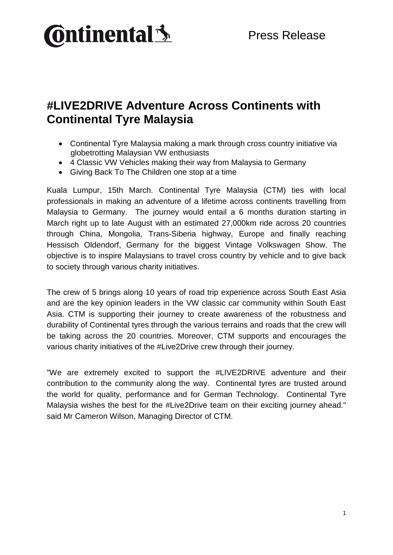

## **#LIVE2DRIVE Adventure Across Continents with Continental Tyre Malaysia**

- Continental Tyre Malaysia making a mark through cross country initiative via globetrotting Malaysian VW enthusiasts
- 4 Classic VW Vehicles making their way from Malaysia to Germany
- Giving Back To The Children one stop at a time

Kuala Lumpur, 15th March. Continental Tyre Malaysia (CTM) ties with local professionals in making an adventure of a lifetime across continents travelling from Malaysia to Germany. The journey would entail a 6 months duration starting in March right up to late August with an estimated 27,000km ride across 20 countries through China, Mongolia, Trans-Siberia highway, Europe and finally reaching Hessisch Oldendorf, Germany for the biggest Vintage Volkswagen Show. The objective is to inspire Malaysians to travel cross country by vehicle and to give back to society through various charity initiatives.

The crew of 5 brings along 10 years of road trip experience across South East Asia and are the key opinion leaders in the VW classic car community within South East Asia. CTM is supporting their journey to create awareness of the robustness and durability of Continental tyres through the various terrains and roads that the crew will be taking across the 20 countries. Moreover, CTM supports and encourages the various charity initiatives of the #Live2Drive crew through their journey.

"We are extremely excited to support the #LIVE2DRIVE adventure and their contribution to the community along the way. Continental tyres are trusted around the world for quality, performance and for German Technology. Continental Tyre Malaysia wishes the best for the #Live2Drive team on their exciting journey ahead." said Mr Cameron Wilson, Managing Director of CTM.